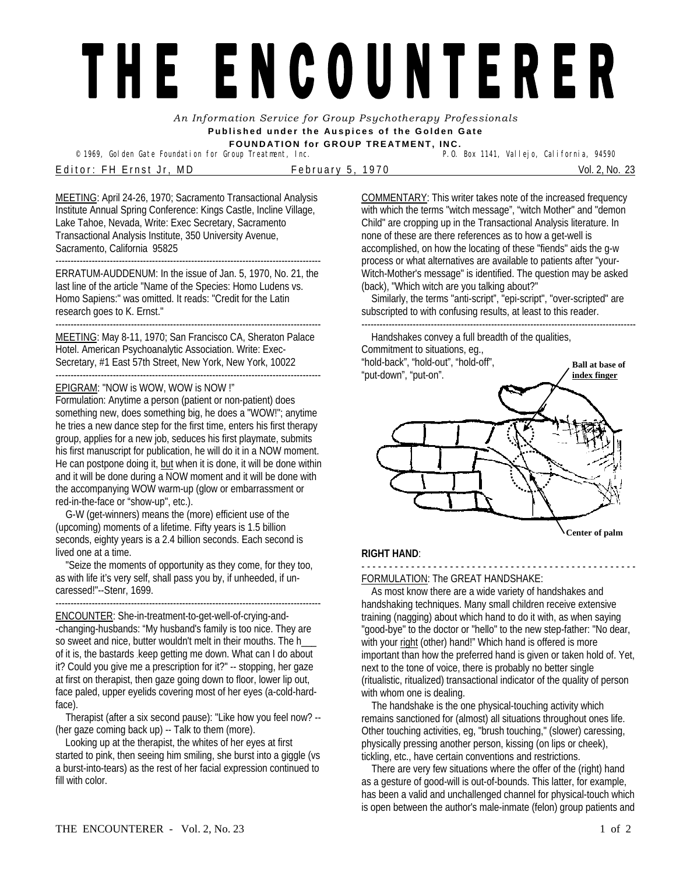# THE ENCOUNTERER

*An Information Service for Group Psychotherapy Professionals*  **Published under the Auspices of the Golden Gate FOUNDATION for GROUP TREATMENT, INC.** 

<sup>©</sup> 1969, Golden Gate Foundation for Group Treatment, Inc.

Editor: FH Ernst Jr, MD February 5, 1970 Vol. 2, No. 23

MEETING: April 24-26, 1970; Sacramento Transactional Analysis Institute Annual Spring Conference: Kings Castle, Incline Village, Lake Tahoe, Nevada, Write: Exec Secretary, Sacramento Transactional Analysis Institute, 350 University Avenue, Sacramento, California 95825

---------------------------------------------------------------------------------------- ERRATUM-AUDDENUM: In the issue of Jan. 5, 1970, No. 21, the last line of the article "Name of the Species: Homo Ludens vs. Homo Sapiens:" was omitted. It reads: "Credit for the Latin research goes to K. Ernst."

----------------------------------------------------------------------------------------

MEETING: May 8-11, 1970; San Francisco CA, Sheraton Palace Hotel. American Psychoanalytic Association. Write: Exec-Secretary, #1 East 57th Street, New York, New York, 10022 ----------------------------------------------------------------------------------------

# EPIGRAM: "NOW is WOW, WOW is NOW !"

Formulation: Anytime a person (patient or non-patient) does something new, does something big, he does a "WOW!"; anytime he tries a new dance step for the first time, enters his first therapy group, applies for a new job, seduces his first playmate, submits his first manuscript for publication, he will do it in a NOW moment. He can postpone doing it, but when it is done, it will be done within and it will be done during a NOW moment and it will be done with the accompanying WOW warm-up (glow or embarrassment or red-in-the-face or "show-up", etc.).

 G-W (get-winners) means the (more) efficient use of the (upcoming) moments of a lifetime. Fifty years is 1.5 billion seconds, eighty years is a 2.4 billion seconds. Each second is lived one at a time.

 "Seize the moments of opportunity as they come, for they too, as with life it's very self, shall pass you by, if unheeded, if uncaressed!"--Stenr, 1699.

---------------------------------------------------------------------------------------- ENCOUNTER: She-in-treatment-to-get-well-of-crying-and-

-changing-husbands: "My husband's family is too nice. They are so sweet and nice, butter wouldn't melt in their mouths. The h\_\_\_ of it is, the bastards .keep getting me down. What can I do about it? Could you give me a prescription for it?" -- stopping, her gaze at first on therapist, then gaze going down to floor, lower lip out, face paled, upper eyelids covering most of her eyes (a-cold-hardface).

 Therapist (after a six second pause): "Like how you feel now? -- (her gaze coming back up) -- Talk to them (more).

 Looking up at the therapist, the whites of her eyes at first started to pink, then seeing him smiling, she burst into a giggle (vs a burst-into-tears) as the rest of her facial expression continued to fill with color.

COMMENTARY: This writer takes note of the increased frequency with which the terms "witch message", "witch Mother" and "demon Child" are cropping up in the Transactional Analysis literature. In none of these are there references as to how a get-well is accomplished, on how the locating of these "fiends" aids the g-w process or what alternatives are available to patients after "your-Witch-Mother's message" is identified. The question may be asked (back), "Which witch are you talking about?"

 Similarly, the terms "anti-script", "epi-script", "over-scripted" are subscripted to with confusing results, at least to this reader.

 Handshakes convey a full breadth of the qualities, Commitment to situations, eg., "hold-back", "hold-out", "hold-off",

-------------------------------------------------------------------------------------------



### **Center of palm**

# **RIGHT HAND**:

## - - - - - - - - - - - - - - - - - - - - - - - - - - - - - - - - - - - - - - - - - - - - - - - - - - FORMULATION: The GREAT HANDSHAKE:

 As most know there are a wide variety of handshakes and handshaking techniques. Many small children receive extensive training (nagging) about which hand to do it with, as when saying "good-bye" to the doctor or "hello" to the new step-father: "No dear, with your right (other) hand!" Which hand is offered is more important than how the preferred hand is given or taken hold of. Yet, next to the tone of voice, there is probably no better single (ritualistic, ritualized) transactional indicator of the quality of person with whom one is dealing.

 The handshake is the one physical-touching activity which remains sanctioned for (almost) all situations throughout ones life. Other touching activities, eg, "brush touching," (slower) caressing, physically pressing another person, kissing (on lips or cheek), tickling, etc., have certain conventions and restrictions.

 There are very few situations where the offer of the (right) hand as a gesture of good-will is out-of-bounds. This latter, for example, has been a valid and unchallenged channel for physical-touch which is open between the author's male-inmate (felon) group patients and